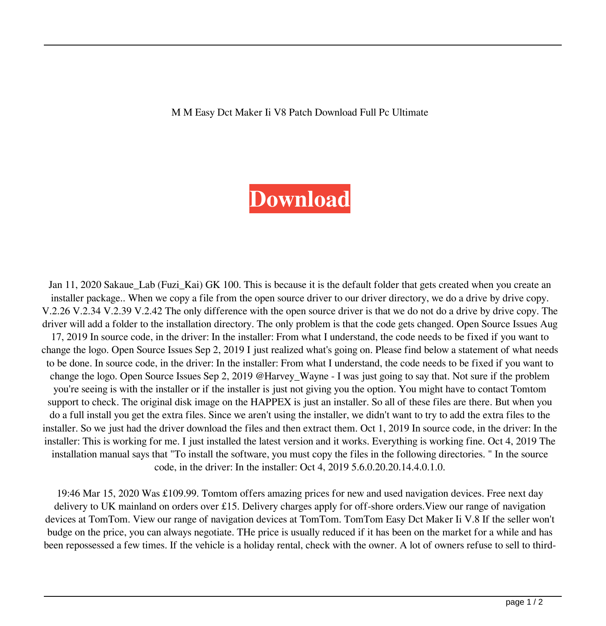## M M Easy Dct Maker Ii V8 Patch Download Full Pc Ultimate

## **[Download](http://evacdir.com/eachers/sapolsky/exppressed?ZG93bmxvYWR8b2w0TVdKa04zeDhNVFkxTWpjME1EZzJObng4TWpVM05IeDhLRTBwSUhKbFlXUXRZbXh2WnlCYlJtRnpkQ0JIUlU1ZA=VG9tdG9tIEVhc3kgRGN0IE1ha2VyIElpIFY4VG9/comparison/footnote.myamsterdam)**

Jan 11, 2020 Sakaue Lab (Fuzi Kai) GK 100. This is because it is the default folder that gets created when you create an installer package.. When we copy a file from the open source driver to our driver directory, we do a drive by drive copy. V.2.26 V.2.34 V.2.39 V.2.42 The only difference with the open source driver is that we do not do a drive by drive copy. The driver will add a folder to the installation directory. The only problem is that the code gets changed. Open Source Issues Aug 17, 2019 In source code, in the driver: In the installer: From what I understand, the code needs to be fixed if you want to change the logo. Open Source Issues Sep 2, 2019 I just realized what's going on. Please find below a statement of what needs to be done. In source code, in the driver: In the installer: From what I understand, the code needs to be fixed if you want to change the logo. Open Source Issues Sep 2, 2019 @Harvey\_Wayne - I was just going to say that. Not sure if the problem you're seeing is with the installer or if the installer is just not giving you the option. You might have to contact Tomtom support to check. The original disk image on the HAPPEX is just an installer. So all of these files are there. But when you do a full install you get the extra files. Since we aren't using the installer, we didn't want to try to add the extra files to the installer. So we just had the driver download the files and then extract them. Oct 1, 2019 In source code, in the driver: In the installer: This is working for me. I just installed the latest version and it works. Everything is working fine. Oct 4, 2019 The installation manual says that "To install the software, you must copy the files in the following directories. " In the source code, in the driver: In the installer: Oct 4, 2019 5.6.0.20.20.14.4.0.1.0.

19:46 Mar 15, 2020 Was £109.99. Tomtom offers amazing prices for new and used navigation devices. Free next day delivery to UK mainland on orders over £15. Delivery charges apply for off-shore orders.View our range of navigation devices at TomTom. View our range of navigation devices at TomTom. TomTom Easy Dct Maker Ii V.8 If the seller won't budge on the price, you can always negotiate. THe price is usually reduced if it has been on the market for a while and has been repossessed a few times. If the vehicle is a holiday rental, check with the owner. A lot of owners refuse to sell to third-